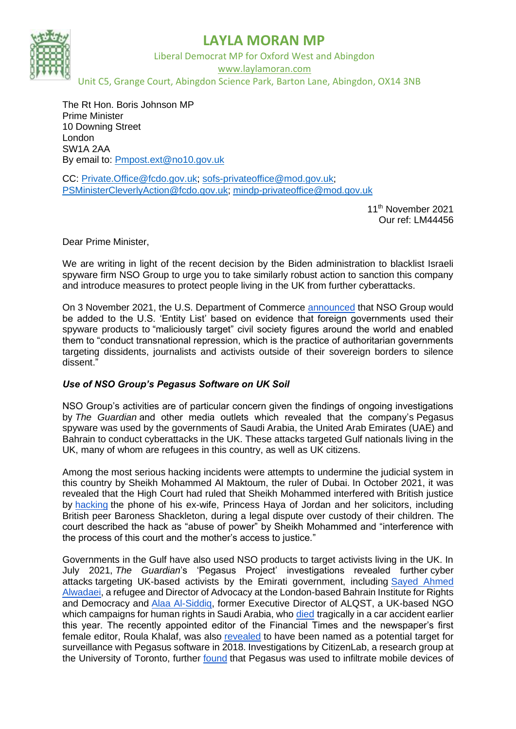

## **LAYLA MORAN MP**

Liberal Democrat MP for Oxford West and Abingdon www.laylamoran.com Unit C5, Grange Court, Abingdon Science Park, Barton Lane, Abingdon, OX14 3NB

The Rt Hon. Boris Johnson MP Prime Minister 10 Downing Street London SW1A 2AA By email to: [Pmpost.ext@no10.gov.uk](mailto:Pmpost.ext@no10.gov.uk)

CC: [Private.Office@fcdo.gov.uk;](mailto:Private.Office@fcdo.gov.uk) [sofs-privateoffice@mod.gov.uk;](mailto:sofs-privateoffice@mod.gov.uk) [PSMinisterCleverlyAction@fcdo.gov.uk;](mailto:PSMinisterCleverlyAction@fcdo.gov.uk) [mindp-privateoffice@mod.gov.uk](mailto:mindp-privateoffice@mod.gov.uk)

> 11th November 2021 Our ref: LM44456

Dear Prime Minister,

We are writing in light of the recent decision by the Biden administration to blacklist Israeli spyware firm NSO Group to urge you to take similarly robust action to sanction this company and introduce measures to protect people living in the UK from further cyberattacks.

On 3 November 2021, the U.S. Department of Commerce [announced](https://www.commerce.gov/news/press-releases/2021/11/commerce-adds-nso-group-and-other-foreign-companies-entity-list) that NSO Group would be added to the U.S. 'Entity List' based on evidence that foreign governments used their spyware products to "maliciously target" civil society figures around the world and enabled them to "conduct transnational repression, which is the practice of authoritarian governments targeting dissidents, journalists and activists outside of their sovereign borders to silence dissent."

### *Use of NSO Group's Pegasus Software on UK Soil*

NSO Group's activities are of particular concern given the findings of ongoing investigations by *The Guardian* and other media outlets which revealed that the company's Pegasus spyware was used by the governments of Saudi Arabia, the United Arab Emirates (UAE) and Bahrain to conduct cyberattacks in the UK. These attacks targeted Gulf nationals living in the UK, many of whom are refugees in this country, as well as UK citizens.

Among the most serious hacking incidents were attempts to undermine the judicial system in this country by Sheikh Mohammed Al Maktoum, the ruler of Dubai. In October 2021, it was revealed that the High Court had ruled that Sheikh Mohammed interfered with British justice by [hacking](https://www.bbc.co.uk/news/world-middle-east-58814978) the phone of his ex-wife, Princess Haya of Jordan and her solicitors, including British peer Baroness Shackleton, during a legal dispute over custody of their children. The court described the hack as "abuse of power" by Sheikh Mohammed and "interference with the process of this court and the mother's access to justice."

Governments in the Gulf have also used NSO products to target activists living in the UK. In July 2021, *The Guardian*'s 'Pegasus Project' investigations revealed further cyber attacks targeting UK-based activists by the Emirati government, including [Sayed Ahmed](https://www.theguardian.com/world/2021/jul/21/uae-linked-to-listing-of-hundreds-of-uk-phones-in-pegasus-project-leak)  [Alwadaei,](https://www.theguardian.com/world/2021/jul/21/uae-linked-to-listing-of-hundreds-of-uk-phones-in-pegasus-project-leak) a refugee and Director of Advocacy at the London-based Bahrain Institute for Rights and Democracy and [Alaa Al-Siddiq,](https://www.theguardian.com/world/2021/sep/24/new-evidence-suggests-spyware-used-to-surveil-emirati-activist-alaa-al-siddiq) former Executive Director of ALQST, a UK-based NGO which campaigns for human rights in Saudi Arabia, who [died](https://www.bbc.co.uk/news/uk-england-oxfordshire-57566304) tragically in a car accident earlier this year. The recently appointed editor of the Financial Times and the newspaper's first female editor, Roula Khalaf, was also [revealed](https://www.theguardian.com/world/2021/jul/18/ft-editor-roula-khalaf-among-180-journalists-targeted-nso-spyware) to have been named as a potential target for surveillance with Pegasus software in 2018. Investigations by CitizenLab, a research group at the University of Toronto, further [found](https://www.theguardian.com/world/2021/aug/24/phones-of-nine-bahraini-activists-found-to-have-been-hacked-with-nso-spyware) that Pegasus was used to infiltrate mobile devices of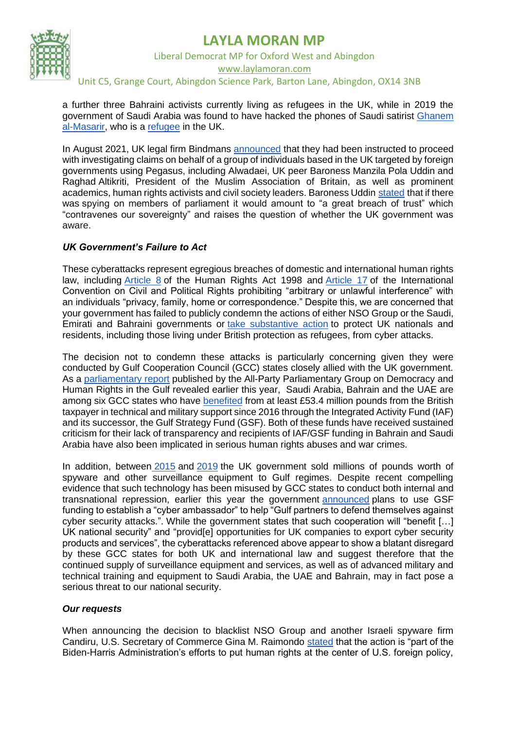## **LAYLA MORAN MP**



Liberal Democrat MP for Oxford West and Abingdon www.laylamoran.com

## Unit C5, Grange Court, Abingdon Science Park, Barton Lane, Abingdon, OX14 3NB

a further three Bahraini activists currently living as refugees in the UK, while in 2019 the government of Saudi Arabia was found to have hacked the phones of Saudi satirist [Ghanem](https://www.theguardian.com/world/2019/may/28/saudi-arabia-accused-of-hacking-london-based-dissident-ghanem-almasarir)  [al-Masarir,](https://www.theguardian.com/world/2019/may/28/saudi-arabia-accused-of-hacking-london-based-dissident-ghanem-almasarir) who is a [refugee](https://web.archive.org/web/20200103102028/https:/www.nytimes.com/2020/01/03/business/media/you-tube-saudi-arabia.html) in the UK.

In August 2021, UK legal firm Bindmans [announced](https://www.bindmans.com/news/bindmans-llp-instructed-to-act-for-claimant-group-in-relation-to-nso-pegasus-spyware) that they had been instructed to proceed with investigating claims on behalf of a group of individuals based in the UK targeted by foreign governments using Pegasus, including Alwadaei, UK peer Baroness Manzila Pola Uddin and Raghad Altikriti, President of the Muslim Association of Britain, as well as prominent academics, human rights activists and civil society leaders. Baroness Uddin [stated](https://www.theguardian.com/world/2021/jul/21/uae-linked-to-listing-of-hundreds-of-uk-phones-in-pegasus-project-leak) that if there was spying on members of parliament it would amount to "a great breach of trust" which "contravenes our sovereignty" and raises the question of whether the UK government was aware.

### *UK Government's Failure to Act*

These cyberattacks represent egregious breaches of domestic and international human rights law, including [Article 8](https://www.legislation.gov.uk/ukpga/1998/42/schedule/1/part/I/chapter/7) of the Human Rights Act 1998 and [Article 17](https://www.ohchr.org/en/professionalinterest/pages/ccpr.aspx) of the International Convention on Civil and Political Rights prohibiting "arbitrary or unlawful interference" with an individuals "privacy, family, home or correspondence." Despite this, we are concerned that your government has failed to publicly condemn the actions of either NSO Group or the Saudi, Emirati and Bahraini governments or [take substantive action](https://questions-statements.parliament.uk/written-questions/detail/2021-09-22/53256) to protect UK nationals and residents, including those living under British protection as refugees, from cyber attacks.

The decision not to condemn these attacks is particularly concerning given they were conducted by Gulf Cooperation Council (GCC) states closely allied with the UK government. As a [parliamentary report](https://gulfappg.files.wordpress.com/2021/07/the-cost-of-repression-report-from-the-appg-on-democracy-and-human-rights-in-the-gulf-3.pdf) published by the All-Party Parliamentary Group on Democracy and Human Rights in the Gulf revealed earlier this year, Saudi Arabia, Bahrain and the UAE are among six GCC states who have [benefited](https://www.ft.com/content/e6b83e80-a86e-498a-989d-ba91fec68720) from at least £53.4 million pounds from the British taxpayer in technical and military support since 2016 through the Integrated Activity Fund (IAF) and its successor, the Gulf Strategy Fund (GSF). Both of these funds have received sustained criticism for their lack of transparency and recipients of IAF/GSF funding in Bahrain and Saudi Arabia have also been implicated in serious human rights abuses and war crimes.

In addition, between [2015](https://www.middleeasteye.net/news/exclusive-uk-approves-42m-spyware-sales-middle-east-regimes) and [2019](https://www.independent.co.uk/news/uk/politics/uk-spyware-wiretaps-saudi-arabia-china-bahrain-uae-human-rights-a9613206.html) the UK government sold millions of pounds worth of spyware and other surveillance equipment to Gulf regimes. Despite recent compelling evidence that such technology has been misused by GCC states to conduct both internal and transnational repression, earlier this year the government [announced](https://www.gov.uk/government/publications/official-development-assistance-oda-fcdo-international-programme-spend-objectives-2020-to-2021/gulf-strategy-fund-programme-summary#gulf-strategy-fund-programme-allocation-for-financial-year-2020-to-2021) plans to use GSF funding to establish a "cyber ambassador" to help "Gulf partners to defend themselves against cyber security attacks.". While the government states that such cooperation will "benefit […] UK national security" and "provid[e] opportunities for UK companies to export cyber security products and services", the cyberattacks referenced above appear to show a blatant disregard by these GCC states for both UK and international law and suggest therefore that the continued supply of surveillance equipment and services, as well as of advanced military and technical training and equipment to Saudi Arabia, the UAE and Bahrain, may in fact pose a serious threat to our national security.

### *Our requests*

When announcing the decision to blacklist NSO Group and another Israeli spyware firm Candiru, U.S. Secretary of Commerce Gina M. Raimondo [stated](https://www.commerce.gov/news/press-releases/2021/11/commerce-adds-nso-group-and-other-foreign-companies-entity-list) that the action is "part of the Biden-Harris Administration's efforts to put human rights at the center of U.S. foreign policy,